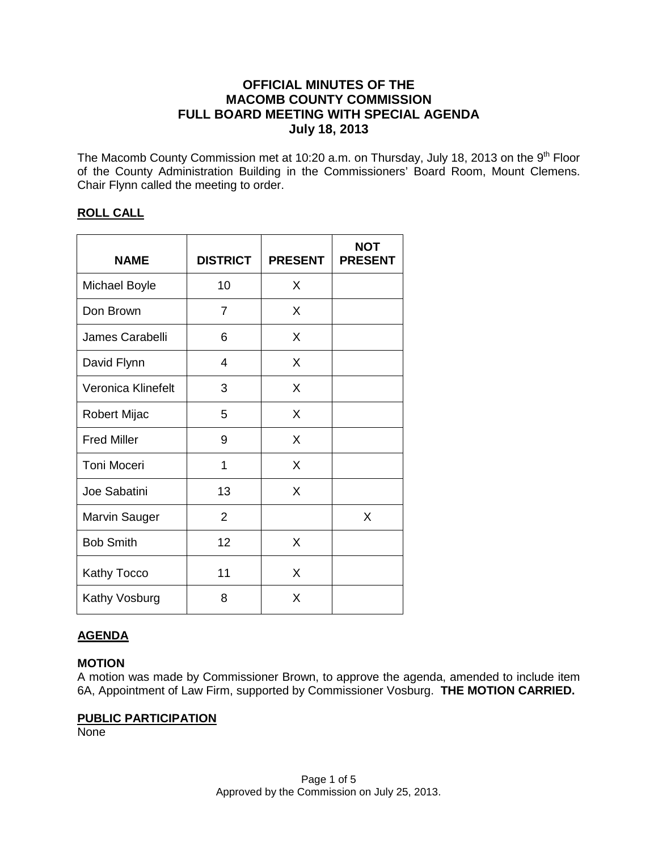# **OFFICIAL MINUTES OF THE MACOMB COUNTY COMMISSION FULL BOARD MEETING WITH SPECIAL AGENDA July 18, 2013**

The Macomb County Commission met at 10:20 a.m. on Thursday, July 18, 2013 on the 9<sup>th</sup> Floor of the County Administration Building in the Commissioners' Board Room, Mount Clemens. Chair Flynn called the meeting to order.

# **ROLL CALL**

| <b>NAME</b>          | <b>DISTRICT</b> | <b>PRESENT</b> | <b>NOT</b><br><b>PRESENT</b> |
|----------------------|-----------------|----------------|------------------------------|
| <b>Michael Boyle</b> | 10              | X              |                              |
| Don Brown            | 7               | X              |                              |
| James Carabelli      | 6               | X              |                              |
| David Flynn          | 4               | X              |                              |
| Veronica Klinefelt   | 3               | X              |                              |
| Robert Mijac         | 5               | X              |                              |
| <b>Fred Miller</b>   | 9               | X              |                              |
| <b>Toni Moceri</b>   | 1               | X              |                              |
| Joe Sabatini         | 13              | X              |                              |
| Marvin Sauger        | $\overline{2}$  |                | X                            |
| <b>Bob Smith</b>     | 12              | X              |                              |
| <b>Kathy Tocco</b>   | 11              | X              |                              |
| Kathy Vosburg        | 8               | Χ              |                              |

# **AGENDA**

# **MOTION**

A motion was made by Commissioner Brown, to approve the agenda, amended to include item 6A, Appointment of Law Firm, supported by Commissioner Vosburg. **THE MOTION CARRIED.** 

# **PUBLIC PARTICIPATION**

None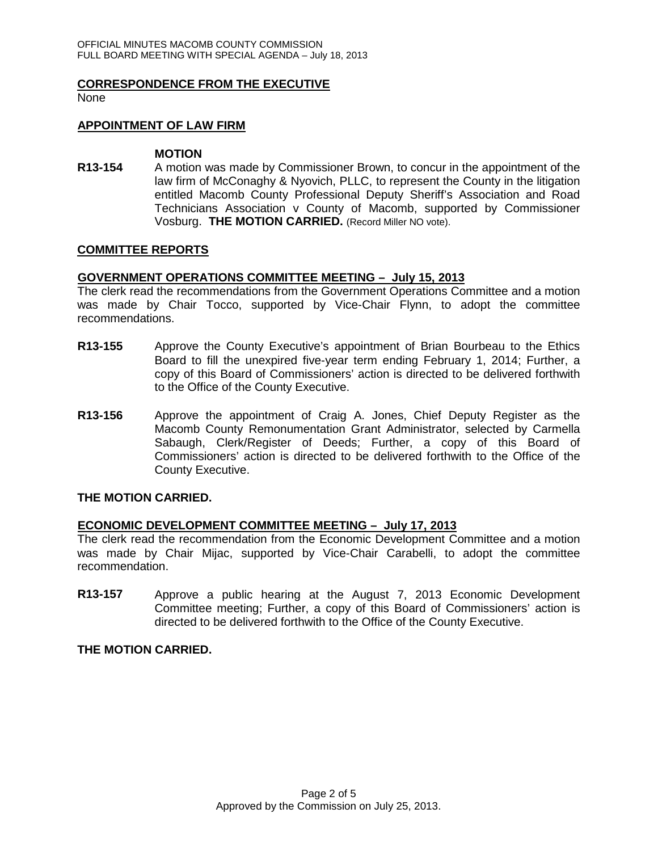#### **CORRESPONDENCE FROM THE EXECUTIVE**

None

#### **APPOINTMENT OF LAW FIRM**

#### **MOTION**

**R13-154** A motion was made by Commissioner Brown, to concur in the appointment of the law firm of McConaghy & Nyovich, PLLC, to represent the County in the litigation entitled Macomb County Professional Deputy Sheriff's Association and Road Technicians Association v County of Macomb, supported by Commissioner Vosburg. **THE MOTION CARRIED.** (Record Miller NO vote).

#### **COMMITTEE REPORTS**

### **GOVERNMENT OPERATIONS COMMITTEE MEETING – July 15, 2013**

The clerk read the recommendations from the Government Operations Committee and a motion was made by Chair Tocco, supported by Vice-Chair Flynn, to adopt the committee recommendations.

- **R13-155** Approve the County Executive's appointment of Brian Bourbeau to the Ethics Board to fill the unexpired five-year term ending February 1, 2014; Further, a copy of this Board of Commissioners' action is directed to be delivered forthwith to the Office of the County Executive.
- **R13-156** Approve the appointment of Craig A. Jones, Chief Deputy Register as the Macomb County Remonumentation Grant Administrator, selected by Carmella Sabaugh, Clerk/Register of Deeds; Further, a copy of this Board of Commissioners' action is directed to be delivered forthwith to the Office of the County Executive.

#### **THE MOTION CARRIED.**

### **ECONOMIC DEVELOPMENT COMMITTEE MEETING – July 17, 2013**

The clerk read the recommendation from the Economic Development Committee and a motion was made by Chair Mijac, supported by Vice-Chair Carabelli, to adopt the committee recommendation.

**R13-157** Approve a public hearing at the August 7, 2013 Economic Development Committee meeting; Further, a copy of this Board of Commissioners' action is directed to be delivered forthwith to the Office of the County Executive.

### **THE MOTION CARRIED.**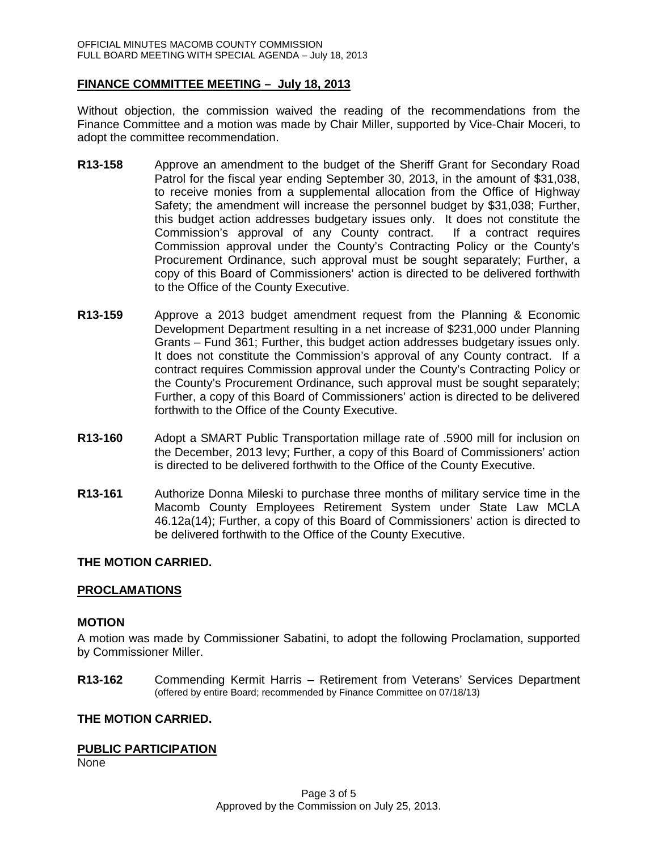### **FINANCE COMMITTEE MEETING – July 18, 2013**

Without objection, the commission waived the reading of the recommendations from the Finance Committee and a motion was made by Chair Miller, supported by Vice-Chair Moceri, to adopt the committee recommendation.

- **R13-158** Approve an amendment to the budget of the Sheriff Grant for Secondary Road Patrol for the fiscal year ending September 30, 2013, in the amount of \$31,038, to receive monies from a supplemental allocation from the Office of Highway Safety; the amendment will increase the personnel budget by \$31,038; Further, this budget action addresses budgetary issues only. It does not constitute the Commission's approval of any County contract. If a contract requires Commission approval under the County's Contracting Policy or the County's Procurement Ordinance, such approval must be sought separately; Further, a copy of this Board of Commissioners' action is directed to be delivered forthwith to the Office of the County Executive.
- **R13-159** Approve a 2013 budget amendment request from the Planning & Economic Development Department resulting in a net increase of \$231,000 under Planning Grants – Fund 361; Further, this budget action addresses budgetary issues only. It does not constitute the Commission's approval of any County contract. If a contract requires Commission approval under the County's Contracting Policy or the County's Procurement Ordinance, such approval must be sought separately; Further, a copy of this Board of Commissioners' action is directed to be delivered forthwith to the Office of the County Executive.
- **R13-160** Adopt a SMART Public Transportation millage rate of .5900 mill for inclusion on the December, 2013 levy; Further, a copy of this Board of Commissioners' action is directed to be delivered forthwith to the Office of the County Executive.
- **R13-161** Authorize Donna Mileski to purchase three months of military service time in the Macomb County Employees Retirement System under State Law MCLA 46.12a(14); Further, a copy of this Board of Commissioners' action is directed to be delivered forthwith to the Office of the County Executive.

### **THE MOTION CARRIED.**

### **PROCLAMATIONS**

### **MOTION**

A motion was made by Commissioner Sabatini, to adopt the following Proclamation, supported by Commissioner Miller.

**R13-162** Commending Kermit Harris – Retirement from Veterans' Services Department (offered by entire Board; recommended by Finance Committee on 07/18/13)

### **THE MOTION CARRIED.**

### **PUBLIC PARTICIPATION**

None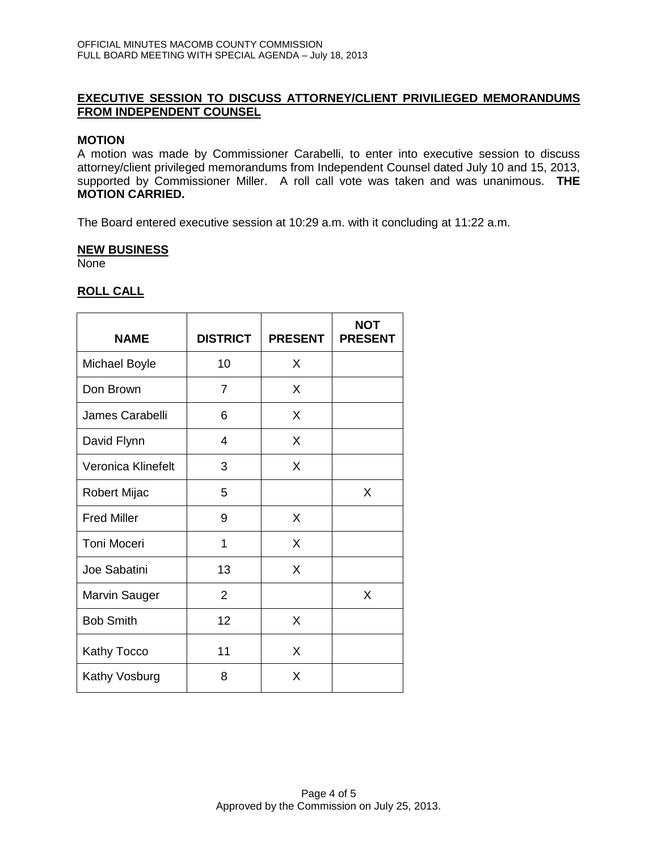# **EXECUTIVE SESSION TO DISCUSS ATTORNEY/CLIENT PRIVILIEGED MEMORANDUMS FROM INDEPENDENT COUNSEL**

### **MOTION**

A motion was made by Commissioner Carabelli, to enter into executive session to discuss attorney/client privileged memorandums from Independent Counsel dated July 10 and 15, 2013, supported by Commissioner Miller. A roll call vote was taken and was unanimous. **THE MOTION CARRIED.**

The Board entered executive session at 10:29 a.m. with it concluding at 11:22 a.m.

### **NEW BUSINESS**

None

# **ROLL CALL**

| <b>NAME</b>          | <b>DISTRICT</b> | <b>PRESENT</b> | <b>NOT</b><br><b>PRESENT</b> |
|----------------------|-----------------|----------------|------------------------------|
| <b>Michael Boyle</b> | 10              | X              |                              |
| Don Brown            | 7               | X              |                              |
| James Carabelli      | 6               | X              |                              |
| David Flynn          | 4               | X              |                              |
| Veronica Klinefelt   | 3               | X              |                              |
| Robert Mijac         | 5               |                | X                            |
| <b>Fred Miller</b>   | 9               | X              |                              |
| <b>Toni Moceri</b>   | 1               | X              |                              |
| Joe Sabatini         | 13              | X              |                              |
| Marvin Sauger        | $\overline{2}$  |                | X                            |
| <b>Bob Smith</b>     | 12              | X              |                              |
| Kathy Tocco          | 11              | X              |                              |
| Kathy Vosburg        | 8               | Х              |                              |